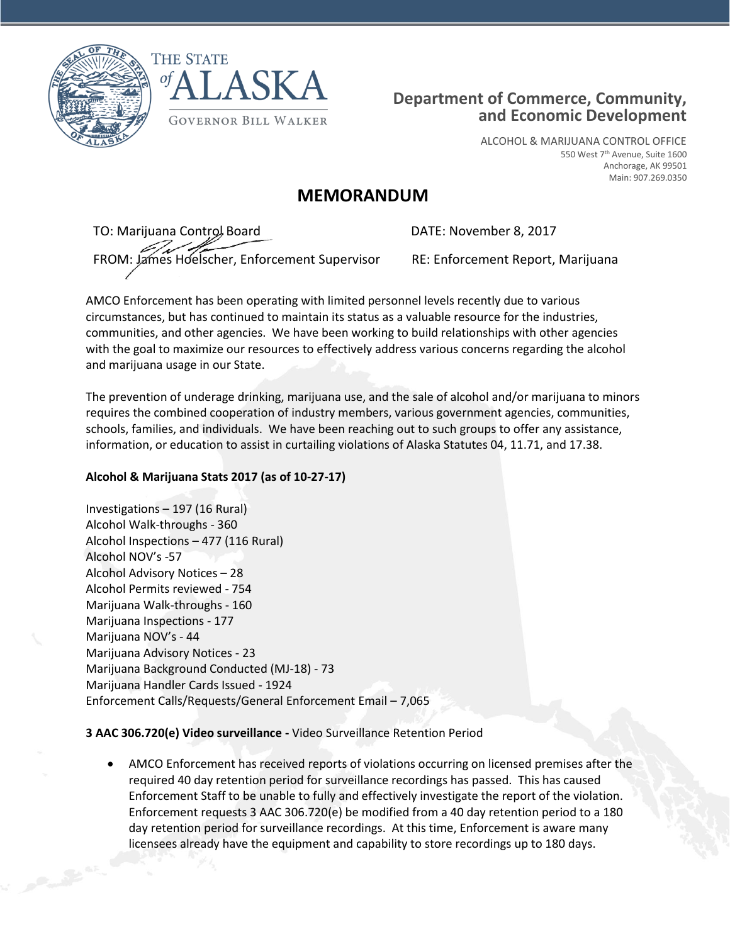



# **Department of Commerce, Community, and Economic Development**

ALCOHOL & MARIJUANA CONTROL OFFICE 550 West 7th Avenue, Suite 1600 Anchorage, AK 99501 Main: 907.269.0350

# **MEMORANDUM**

TO: Marijuana Control Board **DATE: November 8, 2017** FROM: James Hoelscher, Enforcement Supervisor RE: Enforcement Report, Marijuana

AMCO Enforcement has been operating with limited personnel levels recently due to various circumstances, but has continued to maintain its status as a valuable resource for the industries, communities, and other agencies. We have been working to build relationships with other agencies with the goal to maximize our resources to effectively address various concerns regarding the alcohol and marijuana usage in our State.

The prevention of underage drinking, marijuana use, and the sale of alcohol and/or marijuana to minors requires the combined cooperation of industry members, various government agencies, communities, schools, families, and individuals. We have been reaching out to such groups to offer any assistance, information, or education to assist in curtailing violations of Alaska Statutes 04, 11.71, and 17.38.

## **Alcohol & Marijuana Stats 2017 (as of 10-27-17)**

Investigations – 197 (16 Rural) Alcohol Walk-throughs - 360 Alcohol Inspections – 477 (116 Rural) Alcohol NOV's -57 Alcohol Advisory Notices – 28 Alcohol Permits reviewed - 754 Marijuana Walk-throughs - 160 Marijuana Inspections - 177 Marijuana NOV's - 44 Marijuana Advisory Notices - 23 Marijuana Background Conducted (MJ-18) - 73 Marijuana Handler Cards Issued - 1924 Enforcement Calls/Requests/General Enforcement Email – 7,065

## **3 AAC 306.720(e) Video surveillance -** Video Surveillance Retention Period

 AMCO Enforcement has received reports of violations occurring on licensed premises after the required 40 day retention period for surveillance recordings has passed. This has caused Enforcement Staff to be unable to fully and effectively investigate the report of the violation. Enforcement requests 3 AAC 306.720(e) be modified from a 40 day retention period to a 180 day retention period for surveillance recordings. At this time, Enforcement is aware many licensees already have the equipment and capability to store recordings up to 180 days.